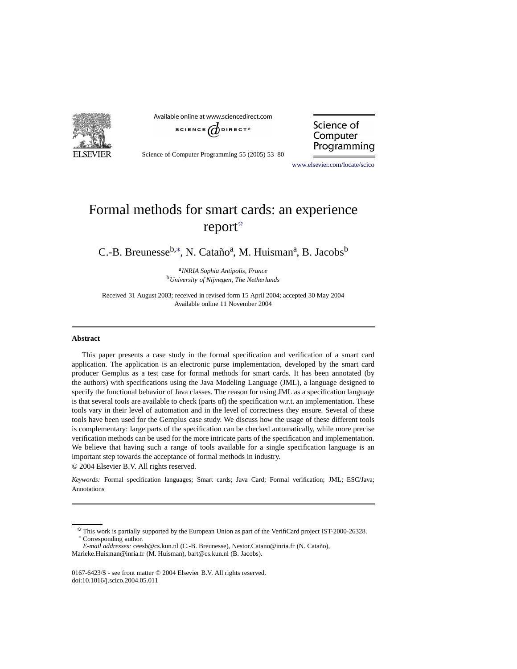

Available online at www.sciencedirect.com



Science of Computer Programming 55 (2005) 53–80

Science of Computer Programming

[www.elsevier.com/locate/scico](http://www.elsevier.com/locate/scico)

# Formal methods for smart cards: an experience report<sup> $\triangle$ </sup>

C.-B. Breunesse<sup>b,\*</sup>, N. Cataño<sup>a</sup>, M. Huisman<sup>a</sup>, B. Jacobs<sup>b</sup>

<sup>a</sup>*INRIA Sophia Antipolis, France* <sup>b</sup>*University of Nijmegen, The Netherlands*

Received 31 August 2003; received in revised form 15 April 2004; accepted 30 May 2004 Available online 11 November 2004

#### **Abstract**

This paper presents a case study in the formal specification and verification of a smart card application. The application is an electronic purse implementation, developed by the smart card producer Gemplus as a test case for formal methods for smart cards. It has been annotated (by the authors) with specifications using the Java Modeling Language (JML), a language designed to specify the functional behavior of Java classes. The reason for using JML as a specification language is that several tools are available to check (parts of) the specification w.r.t. an implementation. These tools vary in their level of automation and in the level of correctness they ensure. Several of these tools have been used for the Gemplus case study. We discuss how the usage of these different tools is complementary: large parts of the specification can be checked automatically, while more precise verification methods can be used for the more intricate parts of the specification and implementation. We believe that having such a range of tools available for a single specification language is an important step towards the acceptance of formal methods in industry. © 2004 Elsevier B.V. All rights reserved.

*Keywords:* Formal specification languages; Smart cards; Java Card; Formal verification; JML; ESC/Java; Annotations

 $\overrightarrow{v}$  This work is partially supported by the European Union as part of the VerifiCard project IST-2000-26328. ∗ Corresponding author.

<span id="page-0-1"></span><span id="page-0-0"></span>*E-mail addresses:* ceesb@cs.kun.nl (C.-B. Breunesse), Nestor.Catano@inria.fr (N. Cataño), Marieke.Huisman@inria.fr (M. Huisman), bart@cs.kun.nl (B. Jacobs).

<sup>0167-6423/\$ -</sup> see front matter © 2004 Elsevier B.V. All rights reserved. doi:10.1016/j.scico.2004.05.011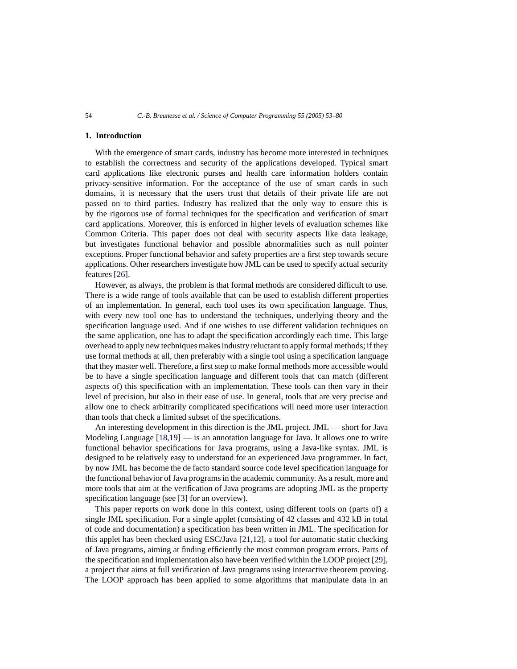## **1. Introduction**

With the emergence of smart cards, industry has become more interested in techniques to establish the correctness and security of the applications developed. Typical smart card applications like electronic purses and health care information holders contain privacy-sensitive information. For the acceptance of the use of smart cards in such domains, it is necessary that the users trust that details of their private life are not passed on to third parties. Industry has realized that the only way to ensure this is by the rigorous use of formal techniques for the specification and verification of smart card applications. Moreover, this is enforced in higher levels of evaluation schemes like Common Criteria. This paper does not deal with security aspects like data leakage, but investigates functional behavior and possible abnormalities such as null pointer exceptions. Proper functional behavior and safety properties are a first step towards secure applications. Other researchers investigate how JML can be used to specify actual security features [\[26](#page-27-0)].

However, as always, the problem is that formal methods are considered difficult to use. There is a wide range of tools available that can be used to establish different properties of an implementation. In general, each tool uses its own specification language. Thus, with every new tool one has to understand the techniques, underlying theory and the specification language used. And if one wishes to use different validation techniques on the same application, one has to adapt the specification accordingly each time. This large overhead to apply new techniques makes industry reluctant to apply formal methods; if they use formal methods at all, then preferably with a single tool using a specification language that they master well. Therefore, a first step to make formal methods more accessible would be to have a single specification language and different tools that can match (different aspects of) this specification with an implementation. These tools can then vary in their level of precision, but also in their ease of use. In general, tools that are very precise and allow one to check arbitrarily complicated specifications will need more user interaction than tools that check a limited subset of the specifications.

An interesting development in this direction is the JML project. JML — short for Java Modeling Language  $[18,19]$  $[18,19]$  — is an annotation language for Java. It allows one to write functional behavior specifications for Java programs, using a Java-like syntax. JML is designed to be relatively easy to understand for an experienced Java programmer. In fact, by now JML has become the de facto standard source code level specification language for the functional behavior of Java programs in the academic community. As a result, more and more tools that aim at the verification of Java programs are adopting JML as the property specification language (see [\[3\]](#page-26-2) for an overview).

This paper reports on work done in this context, using different tools on (parts of) a single JML specification. For a single applet (consisting of 42 classes and 432 kB in total of code and documentation) a specification has been written in JML. The specification for this applet has been checked using ESC/Java [\[21](#page-27-1)[,12](#page-26-3)], a tool for automatic static checking of Java programs, aiming at finding efficiently the most common program errors. Parts of the specification and implementation also have been verified within the LOOP project [\[29\]](#page-27-2), a project that aims at full verification of Java programs using interactive theorem proving. The LOOP approach has been applied to some algorithms that manipulate data in an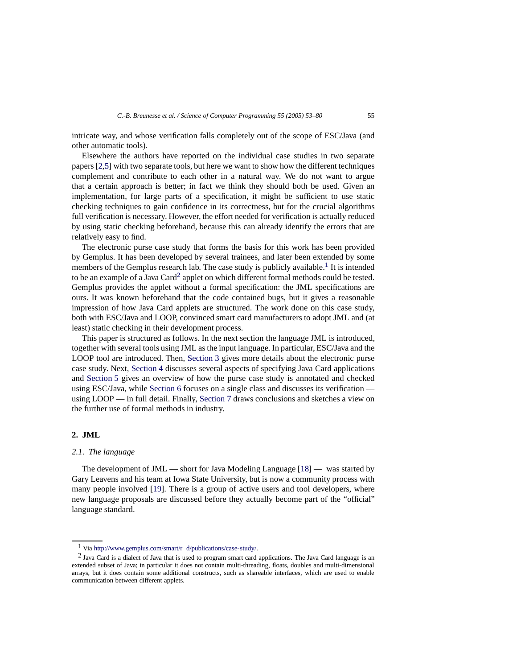intricate way, and whose verification falls completely out of the scope of ESC/Java (and other automatic tools).

Elsewhere the authors have reported on the individual case studies in two separate papers [\[2](#page-26-4)[,5\]](#page-26-5) with two separate tools, but here we want to show how the different techniques complement and contribute to each other in a natural way. We do not want to argue that a certain approach is better; in fact we think they should both be used. Given an implementation, for large parts of a specification, it might be sufficient to use static checking techniques to gain confidence in its correctness, but for the crucial algorithms full verification is necessary. However, the effort needed for verification is actually reduced by using static checking beforehand, because this can already identify the errors that are relatively easy to find.

The electronic purse case study that forms the basis for this work has been provided by Gemplus. It has been developed by several trainees, and later been extended by some members of the Gemplus research lab. The case study is publicly available.<sup>[1](#page-2-0)</sup> It is intended to be an example of a Java Card<sup>[2](#page-2-1)</sup> applet on which different formal methods could be tested. Gemplus provides the applet without a formal specification: the JML specifications are ours. It was known beforehand that the code contained bugs, but it gives a reasonable impression of how Java Card applets are structured. The work done on this case study, both with ESC/Java and LOOP, convinced smart card manufacturers to adopt JML and (at least) static checking in their development process.

This paper is structured as follows. In the next section the language JML is introduced, together with several tools using JML as the input language. In particular, ESC/Java and the LOOP tool are introduced. Then, [Section 3](#page-9-0) gives more details about the electronic purse case study. Next, [Section 4](#page-10-0) discusses several aspects of specifying Java Card applications and [Section 5](#page-14-0) gives an overview of how the purse case study is annotated and checked using ESC/Java, while [Section 6](#page-19-0) focuses on a single class and discusses its verification using LOOP — in full detail. Finally, [Section 7](#page-25-0) draws conclusions and sketches a view on the further use of formal methods in industry.

# <span id="page-2-2"></span>**2. JML**

## *2.1. The language*

The development of JML — short for Java Modeling Language [\[18\]](#page-26-0) — was started by Gary Leavens and his team at Iowa State University, but is now a community process with many people involved [\[19](#page-26-1)]. There is a group of active users and tool developers, where new language proposals are discussed before they actually become part of the "official" language standard.

 $1$  Via [http://www.gemplus.com/smart/r\\_d/publications/case-study/.](http://www.gemplus.com/smart/r_d/publications/case-study/)

<span id="page-2-1"></span><span id="page-2-0"></span><sup>2</sup> Java Card is a dialect of Java that is used to program smart card applications. The Java Card language is an extended subset of Java; in particular it does not contain multi-threading, floats, doubles and multi-dimensional arrays, but it does contain some additional constructs, such as shareable interfaces, which are used to enable communication between different applets.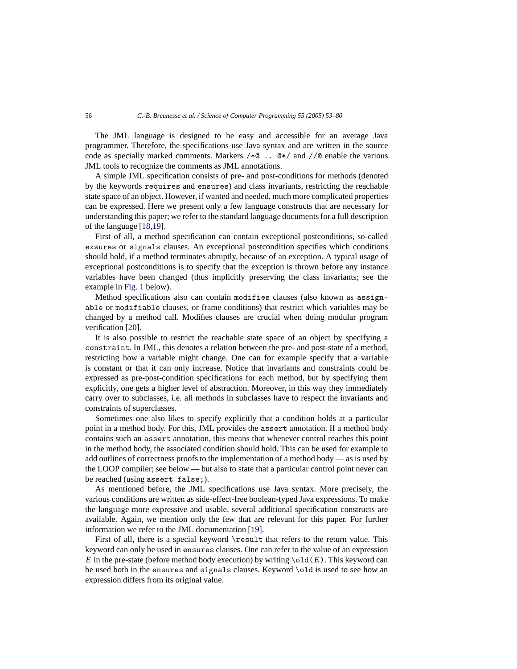The JML language is designed to be easy and accessible for an average Java programmer. Therefore, the specifications use Java syntax and are written in the source code as specially marked comments. Markers  $/*@$ ..  $@*/$  and  $//@$  enable the various JML tools to recognize the comments as JML annotations.

A simple JML specification consists of pre- and post-conditions for methods (denoted by the keywords requires and ensures) and class invariants, restricting the reachable state space of an object. However, if wanted and needed, much more complicated properties can be expressed. Here we present only a few language constructs that are necessary for understanding this paper; we refer to the standard language documents for a full description of the language [\[18](#page-26-0)[,19\]](#page-26-1).

First of all, a method specification can contain exceptional postconditions, so-called exsures or signals clauses. An exceptional postcondition specifies which conditions should hold, if a method terminates abruptly, because of an exception. A typical usage of exceptional postconditions is to specify that the exception is thrown before any instance variables have been changed (thus implicitly preserving the class invariants; see the example in [Fig. 1](#page-4-0) below).

Method specifications also can contain modifies clauses (also known as assignable or modifiable clauses, or frame conditions) that restrict which variables may be changed by a method call. Modifies clauses are crucial when doing modular program verification [\[20\]](#page-26-6).

It is also possible to restrict the reachable state space of an object by specifying a constraint. In JML, this denotes a relation between the pre- and post-state of a method, restricting how a variable might change. One can for example specify that a variable is constant or that it can only increase. Notice that invariants and constraints could be expressed as pre-post-condition specifications for each method, but by specifying them explicitly, one gets a higher level of abstraction. Moreover, in this way they immediately carry over to subclasses, i.e. all methods in subclasses have to respect the invariants and constraints of superclasses.

Sometimes one also likes to specify explicitly that a condition holds at a particular point in a method body. For this, JML provides the assert annotation. If a method body contains such an assert annotation, this means that whenever control reaches this point in the method body, the associated condition should hold. This can be used for example to add outlines of correctness proofs to the implementation of a method body — as is used by the LOOP compiler; see below — but also to state that a particular control point never can be reached (using assert false;).

As mentioned before, the JML specifications use Java syntax. More precisely, the various conditions are written as side-effect-free boolean-typed Java expressions. To make the language more expressive and usable, several additional specification constructs are available. Again, we mention only the few that are relevant for this paper. For further information we refer to the JML documentation [\[19](#page-26-1)].

First of all, there is a special keyword \result that refers to the return value. This keyword can only be used in ensures clauses. One can refer to the value of an expression *E* in the pre-state (before method body execution) by writing  $\cdot$ old(*E*). This keyword can be used both in the ensures and signals clauses. Keyword \old is used to see how an expression differs from its original value.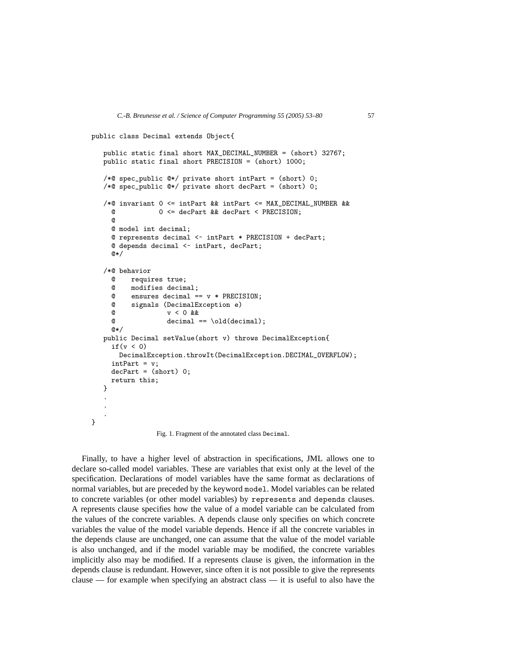```
public class Decimal extends Object{
   public static final short MAX_DECIMAL_NUMBER = (short) 32767;
  public static final short PRECISION = (short) 1000;
   /*@ spec_public @*/ private short intPart = (short) 0;
   /*@ spec_public @*/ private short decPart = (short) 0;
   /*@ invariant 0 <= intPart && intPart <= MAX_DECIMAL_NUMBER &&
    @ 0 <= decPart && decPart < PRECISION;
    @
    @ model int decimal;
    @ represents decimal <- intPart * PRECISION + decPart;
    @ depends decimal <- intPart, decPart;
    0*//*@ behavior
    @ requires true;
    @ modifies decimal;
    @ ensures decimal == v * PREGISION;@ signals (DecimalException e)
    @ v < 0 &&
    @ decimal == \old(decimal);
    @*/
  public Decimal setValue(short v) throws DecimalException{
    if(v < 0)DecimalException.throwIt(DecimalException.DECIMAL_OVERFLOW);
     intPart = v;decPart = (short) 0;return this;
   }
   .
   .
   .
}
```
Fig. 1. Fragment of the annotated class Decimal.

Finally, to have a higher level of abstraction in specifications, JML allows one to declare so-called model variables. These are variables that exist only at the level of the specification. Declarations of model variables have the same format as declarations of normal variables, but are preceded by the keyword model. Model variables can be related to concrete variables (or other model variables) by represents and depends clauses. A represents clause specifies how the value of a model variable can be calculated from the values of the concrete variables. A depends clause only specifies on which concrete variables the value of the model variable depends. Hence if all the concrete variables in the depends clause are unchanged, one can assume that the value of the model variable is also unchanged, and if the model variable may be modified, the concrete variables implicitly also may be modified. If a represents clause is given, the information in the depends clause is redundant. However, since often it is not possible to give the represents clause — for example when specifying an abstract class — it is useful to also have the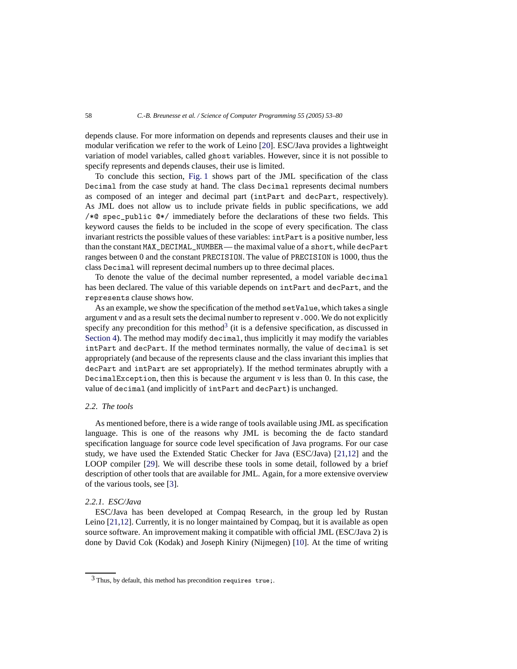depends clause. For more information on depends and represents clauses and their use in modular verification we refer to the work of Leino [\[20](#page-26-6)]. ESC/Java provides a lightweight variation of model variables, called ghost variables. However, since it is not possible to specify represents and depends clauses, their use is limited.

To conclude this section, [Fig. 1](#page-4-0) shows part of the JML specification of the class Decimal from the case study at hand. The class Decimal represents decimal numbers as composed of an integer and decimal part (intPart and decPart, respectively). As JML does not allow us to include private fields in public specifications, we add /\*@ spec\_public @\*/ immediately before the declarations of these two fields. This keyword causes the fields to be included in the scope of every specification. The class invariant restricts the possible values of these variables: intPart is a positive number, less than the constant MAX\_DECIMAL\_NUMBER— the maximal value of a short, while decPart ranges between 0 and the constant PRECISION. The value of PRECISION is 1000, thus the class Decimal will represent decimal numbers up to three decimal places.

To denote the value of the decimal number represented, a model variable decimal has been declared. The value of this variable depends on intPart and decPart, and the represents clause shows how.

As an example, we show the specification of the method setValue, which takes a single argument v and as a result sets the decimal number to represent v.000. We do not explicitly specify any precondition for this method<sup>[3](#page-5-0)</sup> (it is a defensive specification, as discussed in [Section 4\)](#page-10-0). The method may modify decimal, thus implicitly it may modify the variables intPart and decPart. If the method terminates normally, the value of decimal is set appropriately (and because of the represents clause and the class invariant this implies that decPart and intPart are set appropriately). If the method terminates abruptly with a DecimalException, then this is because the argument v is less than 0. In this case, the value of decimal (and implicitly of intPart and decPart) is unchanged.

# *2.2. The tools*

As mentioned before, there is a wide range of tools available using JML as specification language. This is one of the reasons why JML is becoming the de facto standard specification language for source code level specification of Java programs. For our case study, we have used the Extended Static Checker for Java (ESC/Java) [\[21](#page-27-1)[,12\]](#page-26-3) and the LOOP compiler [\[29\]](#page-27-2). We will describe these tools in some detail, followed by a brief description of other tools that are available for JML. Again, for a more extensive overview of the various tools, see [\[3\]](#page-26-2).

## *2.2.1. ESC/Java*

ESC/Java has been developed at Compaq Research, in the group led by Rustan Leino [\[21](#page-27-1)[,12\]](#page-26-3). Currently, it is no longer maintained by Compaq, but it is available as open source software. An improvement making it compatible with official JML (ESC/Java 2) is done by David Cok (Kodak) and Joseph Kiniry (Nijmegen) [\[10](#page-26-7)]. At the time of writing

<span id="page-5-0"></span><sup>3</sup> Thus, by default, this method has precondition requires true;.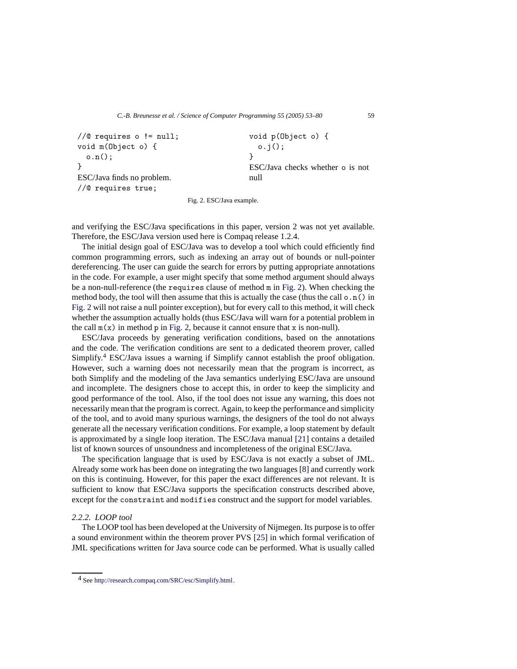```
//@ requires o != null;
void m(Object o) {
  o.n();
}
ESC/Java finds no problem.
//@ requires true;
                                           void p(Object o) {
                                             o.j();
                                           }
                                           ESC/Java checks whether o is not
                                           null
```
Fig. 2. ESC/Java example.

and verifying the ESC/Java specifications in this paper, version 2 was not yet available. Therefore, the ESC/Java version used here is Compaq release 1.2.4.

The initial design goal of ESC/Java was to develop a tool which could efficiently find common programming errors, such as indexing an array out of bounds or null-pointer dereferencing. The user can guide the search for errors by putting appropriate annotations in the code. For example, a user might specify that some method argument should always be a non-null-reference (the requires clause of method m in [Fig. 2\)](#page-6-0). When checking the method body, the tool will then assume that this is actually the case (thus the call  $\circ$ ,  $\circ$ ) in [Fig. 2](#page-6-0) will not raise a null pointer exception), but for every call to this method, it will check whether the assumption actually holds (thus ESC/Java will warn for a potential problem in the call  $m(x)$  in method p in [Fig. 2,](#page-6-0) because it cannot ensure that x is non-null).

ESC/Java proceeds by generating verification conditions, based on the annotations and the code. The verification conditions are sent to a dedicated theorem prover, called Simplify.[4](#page-6-1) ESC/Java issues a warning if Simplify cannot establish the proof obligation. However, such a warning does not necessarily mean that the program is incorrect, as both Simplify and the modeling of the Java semantics underlying ESC/Java are unsound and incomplete. The designers chose to accept this, in order to keep the simplicity and good performance of the tool. Also, if the tool does not issue any warning, this does not necessarily mean that the program is correct. Again, to keep the performance and simplicity of the tool, and to avoid many spurious warnings, the designers of the tool do not always generate all the necessary verification conditions. For example, a loop statement by default is approximated by a single loop iteration. The ESC/Java manual [\[21\]](#page-27-1) contains a detailed list of known sources of unsoundness and incompleteness of the original ESC/Java.

The specification language that is used by ESC/Java is not exactly a subset of JML. Already some work has been done on integrating the two languages [\[8\]](#page-26-8) and currently work on this is continuing. However, for this paper the exact differences are not relevant. It is sufficient to know that ESC/Java supports the specification constructs described above, except for the constraint and modifies construct and the support for model variables.

# *2.2.2. LOOP tool*

The LOOP tool has been developed at the University of Nijmegen. Its purpose is to offer a sound environment within the theorem prover PVS [\[25\]](#page-27-3) in which formal verification of JML specifications written for Java source code can be performed. What is usually called

<span id="page-6-1"></span><sup>4</sup> See [http://research.compaq.com/SRC/esc/Simplify.html.](http://research.compaq.com/SRC/esc/Simplify.html)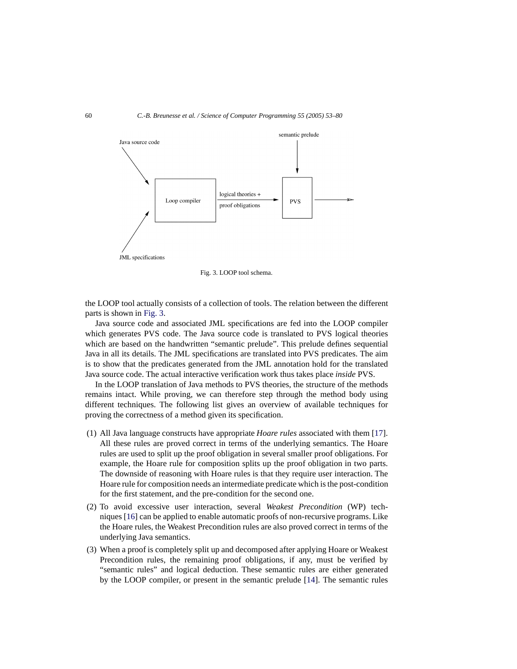<span id="page-7-0"></span>

Fig. 3. LOOP tool schema.

the LOOP tool actually consists of a collection of tools. The relation between the different parts is shown in [Fig. 3.](#page-7-0)

Java source code and associated JML specifications are fed into the LOOP compiler which generates PVS code. The Java source code is translated to PVS logical theories which are based on the handwritten "semantic prelude". This prelude defines sequential Java in all its details. The JML specifications are translated into PVS predicates. The aim is to show that the predicates generated from the JML annotation hold for the translated Java source code. The actual interactive verification work thus takes place *inside* PVS.

In the LOOP translation of Java methods to PVS theories, the structure of the methods remains intact. While proving, we can therefore step through the method body using different techniques. The following list gives an overview of available techniques for proving the correctness of a method given its specification.

- (1) All Java language constructs have appropriate *Hoare rules* associated with them [\[17\]](#page-26-9). All these rules are proved correct in terms of the underlying semantics. The Hoare rules are used to split up the proof obligation in several smaller proof obligations. For example, the Hoare rule for composition splits up the proof obligation in two parts. The downside of reasoning with Hoare rules is that they require user interaction. The Hoare rule for composition needs an intermediate predicate which is the post-condition for the first statement, and the pre-condition for the second one.
- (2) To avoid excessive user interaction, several *Weakest Precondition* (WP) techniques [\[16\]](#page-26-10) can be applied to enable automatic proofs of non-recursive programs. Like the Hoare rules, the Weakest Precondition rules are also proved correct in terms of the underlying Java semantics.
- (3) When a proof is completely split up and decomposed after applying Hoare or Weakest Precondition rules, the remaining proof obligations, if any, must be verified by "semantic rules" and logical deduction. These semantic rules are either generated by the LOOP compiler, or present in the semantic prelude [\[14](#page-26-11)]. The semantic rules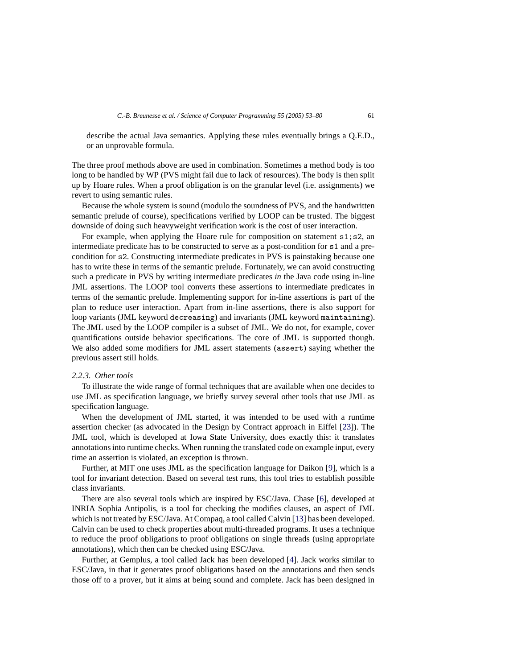describe the actual Java semantics. Applying these rules eventually brings a Q.E.D., or an unprovable formula.

The three proof methods above are used in combination. Sometimes a method body is too long to be handled by WP (PVS might fail due to lack of resources). The body is then split up by Hoare rules. When a proof obligation is on the granular level (i.e. assignments) we revert to using semantic rules.

Because the whole system is sound (modulo the soundness of PVS, and the handwritten semantic prelude of course), specifications verified by LOOP can be trusted. The biggest downside of doing such heavyweight verification work is the cost of user interaction.

For example, when applying the Hoare rule for composition on statement  $s1$ ;  $s2$ , an intermediate predicate has to be constructed to serve as a post-condition for s1 and a precondition for s2. Constructing intermediate predicates in PVS is painstaking because one has to write these in terms of the semantic prelude. Fortunately, we can avoid constructing such a predicate in PVS by writing intermediate predicates *in* the Java code using in-line JML assertions. The LOOP tool converts these assertions to intermediate predicates in terms of the semantic prelude. Implementing support for in-line assertions is part of the plan to reduce user interaction. Apart from in-line assertions, there is also support for loop variants (JML keyword decreasing) and invariants (JML keyword maintaining). The JML used by the LOOP compiler is a subset of JML. We do not, for example, cover quantifications outside behavior specifications. The core of JML is supported though. We also added some modifiers for JML assert statements (assert) saying whether the previous assert still holds.

#### *2.2.3. Other tools*

To illustrate the wide range of formal techniques that are available when one decides to use JML as specification language, we briefly survey several other tools that use JML as specification language.

When the development of JML started, it was intended to be used with a runtime assertion checker (as advocated in the Design by Contract approach in Eiffel [\[23\]](#page-27-4)). The JML tool, which is developed at Iowa State University, does exactly this: it translates annotations into runtime checks. When running the translated code on example input, every time an assertion is violated, an exception is thrown.

Further, at MIT one uses JML as the specification language for Daikon [\[9\]](#page-26-12), which is a tool for invariant detection. Based on several test runs, this tool tries to establish possible class invariants.

There are also several tools which are inspired by ESC/Java. Chase [\[6\]](#page-26-13), developed at INRIA Sophia Antipolis, is a tool for checking the modifies clauses, an aspect of JML which is not treated by ESC/Java. At Compaq, a tool called Calvin [\[13\]](#page-26-14) has been developed. Calvin can be used to check properties about multi-threaded programs. It uses a technique to reduce the proof obligations to proof obligations on single threads (using appropriate annotations), which then can be checked using ESC/Java.

Further, at Gemplus, a tool called Jack has been developed [\[4\]](#page-26-15). Jack works similar to ESC/Java, in that it generates proof obligations based on the annotations and then sends those off to a prover, but it aims at being sound and complete. Jack has been designed in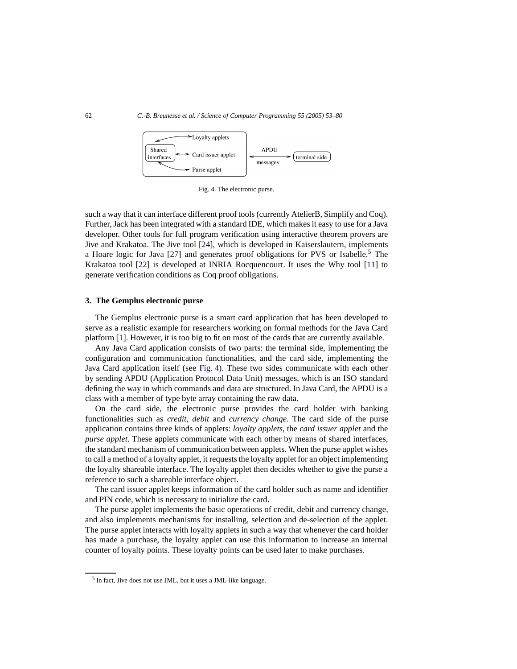

Fig. 4. The electronic purse.

<span id="page-9-2"></span>such a way that it can interface different proof tools (currently AtelierB, Simplify and Coq). Further, Jack has been integrated with a standard IDE, which makes it easy to use for a Java developer. Other tools for full program verification using interactive theorem provers are Jive and Krakatoa. The Jive tool [\[24\]](#page-27-5), which is developed in Kaiserslautern, implements a Hoare logic for Java  $[27]$  and generates proof obligations for PVS or Isabelle.<sup>5</sup> The Krakatoa tool [\[22](#page-27-7)] is developed at INRIA Rocquencourt. It uses the Why tool [\[11\]](#page-26-16) to generate verification conditions as Coq proof obligations.

## <span id="page-9-0"></span>**3. The Gemplus electronic purse**

The Gemplus electronic purse is a smart card application that has been developed to serve as a realistic example for researchers working on formal methods for the Java Card platform [\[1](#page-26-17)]. However, it is too big to fit on most of the cards that are currently available.

Any Java Card application consists of two parts: the terminal side, implementing the configuration and communication functionalities, and the card side, implementing the Java Card application itself (see [Fig. 4\)](#page-9-2). These two sides communicate with each other by sending APDU (Application Protocol Data Unit) messages, which is an ISO standard defining the way in which commands and data are structured. In Java Card, the APDU is a class with a member of type byte array containing the raw data.

On the card side, the electronic purse provides the card holder with banking functionalities such as *credit*, *debit* and *currency change*. The card side of the purse application contains three kinds of applets: *loyalty applets*, the *card issuer applet* and the *purse applet*. These applets communicate with each other by means of shared interfaces, the standard mechanism of communication between applets. When the purse applet wishes to call a method of a loyalty applet, it requests the loyalty applet for an object implementing the loyalty shareable interface. The loyalty applet then decides whether to give the purse a reference to such a shareable interface object.

The card issuer applet keeps information of the card holder such as name and identifier and PIN code, which is necessary to initialize the card.

The purse applet implements the basic operations of credit, debit and currency change, and also implements mechanisms for installing, selection and de-selection of the applet. The purse applet interacts with loyalty applets in such a way that whenever the card holder has made a purchase, the loyalty applet can use this information to increase an internal counter of loyalty points. These loyalty points can be used later to make purchases.

<span id="page-9-1"></span><sup>5</sup> In fact, Jive does not use JML, but it uses a JML-like language.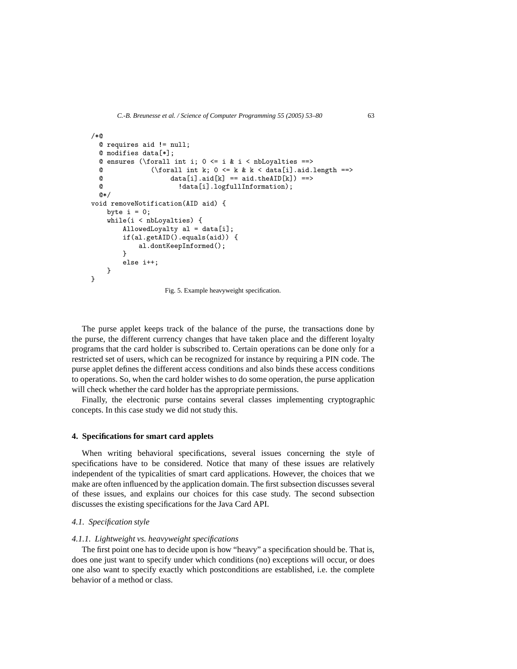```
/*@
    @ requires aid != null;
   @ modifies data[*];
   @ ensures (\forall int i; 0 \le i \& i \le nblovalties ==>@ (\forall int k; 0 \le k \le k \le \text{data}[i].\text{and } \text{length} == \text{and } \text{theta}[k]) == \text{and} \text{theta}[k] == \text{and} \text{theta}[k] == \text{and} \text{theta}[k] == \text{and} \text{theta}[k] == \text{and} \text{theta}[k] == \text{and} \text{theta}[k] == \text{and} \text{theta}[k] == \text{and} \text{theta}[k] == \text{and} \text{theta}[k] == \text{and} \text{theta}[k] == \text{and} \text{theta}[k] == \text{and} \text{theta}[k] == \text{and} \@ data[i].aid[k] == aid.theAID[k]) ==><br>
@ data[i] logfullInformation)
                                              !data[i].logfullInformation);
   @*void removeNotification(AID aid) {
        byte i = 0;
        while(i < nbLoyalties) {
                AllowedLoyalty al = data[i];
                if(al.getAID().equals(aid)) {
                        al.dontKeepInformed();
                }
                else i++;
       }
}
```
Fig. 5. Example heavyweight specification.

The purse applet keeps track of the balance of the purse, the transactions done by the purse, the different currency changes that have taken place and the different loyalty programs that the card holder is subscribed to. Certain operations can be done only for a restricted set of users, which can be recognized for instance by requiring a PIN code. The purse applet defines the different access conditions and also binds these access conditions to operations. So, when the card holder wishes to do some operation, the purse application will check whether the card holder has the appropriate permissions.

Finally, the electronic purse contains several classes implementing cryptographic concepts. In this case study we did not study this.

#### <span id="page-10-0"></span>**4. Specifications for smart card applets**

When writing behavioral specifications, several issues concerning the style of specifications have to be considered. Notice that many of these issues are relatively independent of the typicalities of smart card applications. However, the choices that we make are often influenced by the application domain. The first subsection discusses several of these issues, and explains our choices for this case study. The second subsection discusses the existing specifications for the Java Card API.

#### *4.1. Specification style*

#### *4.1.1. Lightweight vs. heavyweight specifications*

The first point one has to decide upon is how "heavy" a specification should be. That is, does one just want to specify under which conditions (no) exceptions will occur, or does one also want to specify exactly which postconditions are established, i.e. the complete behavior of a method or class.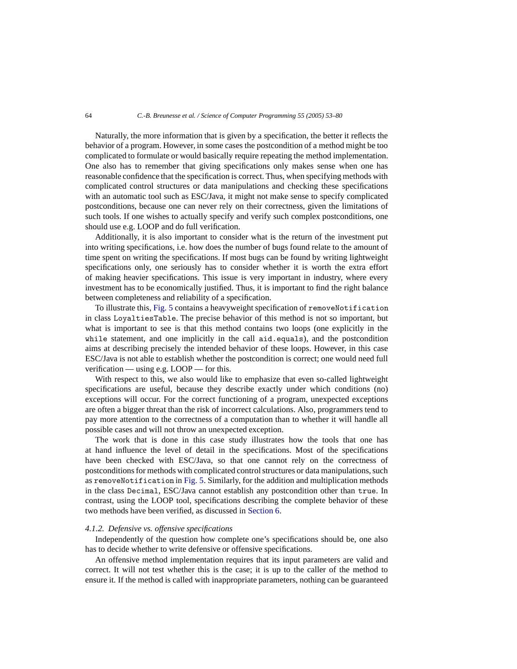Naturally, the more information that is given by a specification, the better it reflects the behavior of a program. However, in some cases the postcondition of a method might be too complicated to formulate or would basically require repeating the method implementation. One also has to remember that giving specifications only makes sense when one has reasonable confidence that the specification is correct. Thus, when specifying methods with complicated control structures or data manipulations and checking these specifications with an automatic tool such as ESC/Java, it might not make sense to specify complicated postconditions, because one can never rely on their correctness, given the limitations of such tools. If one wishes to actually specify and verify such complex postconditions, one should use e.g. LOOP and do full verification.

Additionally, it is also important to consider what is the return of the investment put into writing specifications, i.e. how does the number of bugs found relate to the amount of time spent on writing the specifications. If most bugs can be found by writing lightweight specifications only, one seriously has to consider whether it is worth the extra effort of making heavier specifications. This issue is very important in industry, where every investment has to be economically justified. Thus, it is important to find the right balance between completeness and reliability of a specification.

To illustrate this, [Fig. 5](#page-10-1) contains a heavyweight specification of removeNotification in class LoyaltiesTable. The precise behavior of this method is not so important, but what is important to see is that this method contains two loops (one explicitly in the while statement, and one implicitly in the call aid.equals), and the postcondition aims at describing precisely the intended behavior of these loops. However, in this case ESC/Java is not able to establish whether the postcondition is correct; one would need full verification — using e.g. LOOP — for this.

With respect to this, we also would like to emphasize that even so-called lightweight specifications are useful, because they describe exactly under which conditions (no) exceptions will occur. For the correct functioning of a program, unexpected exceptions are often a bigger threat than the risk of incorrect calculations. Also, programmers tend to pay more attention to the correctness of a computation than to whether it will handle all possible cases and will not throw an unexpected exception.

The work that is done in this case study illustrates how the tools that one has at hand influence the level of detail in the specifications. Most of the specifications have been checked with ESC/Java, so that one cannot rely on the correctness of postconditions for methods with complicated control structures or data manipulations, such as removeNotification in [Fig. 5.](#page-10-1) Similarly, for the addition and multiplication methods in the class Decimal, ESC/Java cannot establish any postcondition other than true. In contrast, using the LOOP tool, specifications describing the complete behavior of these two methods have been verified, as discussed in [Section 6.](#page-19-0)

#### *4.1.2. Defensive vs. offensive specifications*

Independently of the question how complete one's specifications should be, one also has to decide whether to write defensive or offensive specifications.

An offensive method implementation requires that its input parameters are valid and correct. It will not test whether this is the case; it is up to the caller of the method to ensure it. If the method is called with inappropriate parameters, nothing can be guaranteed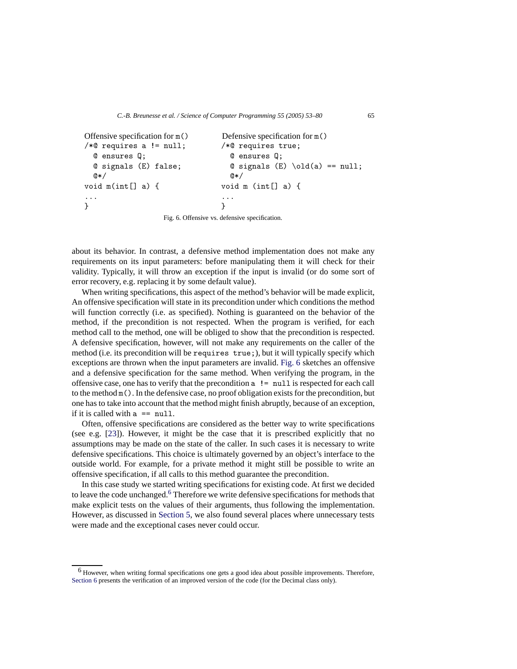```
Offensive specification for m() Defensive specification for m()
/*© requires a != null; /*© requires true;
 @ ensures Q; @ ensures Q;
 @ signals (E) false; @ signals (E) \old(a) == null;
 @*/ @*/void m(int[] a) { void m (int[] a) {
... ...
} }
```
Fig. 6. Offensive vs. defensive specification.

about its behavior. In contrast, a defensive method implementation does not make any requirements on its input parameters: before manipulating them it will check for their validity. Typically, it will throw an exception if the input is invalid (or do some sort of error recovery, e.g. replacing it by some default value).

When writing specifications, this aspect of the method's behavior will be made explicit, An offensive specification will state in its precondition under which conditions the method will function correctly (i.e. as specified). Nothing is guaranteed on the behavior of the method, if the precondition is not respected. When the program is verified, for each method call to the method, one will be obliged to show that the precondition is respected. A defensive specification, however, will not make any requirements on the caller of the method (i.e. its precondition will be requires true;), but it will typically specify which exceptions are thrown when the input parameters are invalid. [Fig. 6](#page-12-0) sketches an offensive and a defensive specification for the same method. When verifying the program, in the offensive case, one has to verify that the precondition a != null is respected for each call to the method m(). In the defensive case, no proof obligation exists for the precondition, but one has to take into account that the method might finish abruptly, because of an exception, if it is called with  $a = \text{null}$ .

Often, offensive specifications are considered as the better way to write specifications (see e.g. [\[23\]](#page-27-4)). However, it might be the case that it is prescribed explicitly that no assumptions may be made on the state of the caller. In such cases it is necessary to write defensive specifications. This choice is ultimately governed by an object's interface to the outside world. For example, for a private method it might still be possible to write an offensive specification, if all calls to this method guarantee the precondition.

In this case study we started writing specifications for existing code. At first we decided to leave the code unchanged.<sup>[6](#page-12-1)</sup> Therefore we write defensive specifications for methods that make explicit tests on the values of their arguments, thus following the implementation. However, as discussed in [Section 5,](#page-14-0) we also found several places where unnecessary tests were made and the exceptional cases never could occur.

<span id="page-12-1"></span><sup>6</sup> However, when writing formal specifications one gets a good idea about possible improvements. Therefore, [Section 6](#page-19-0) presents the verification of an improved version of the code (for the Decimal class only).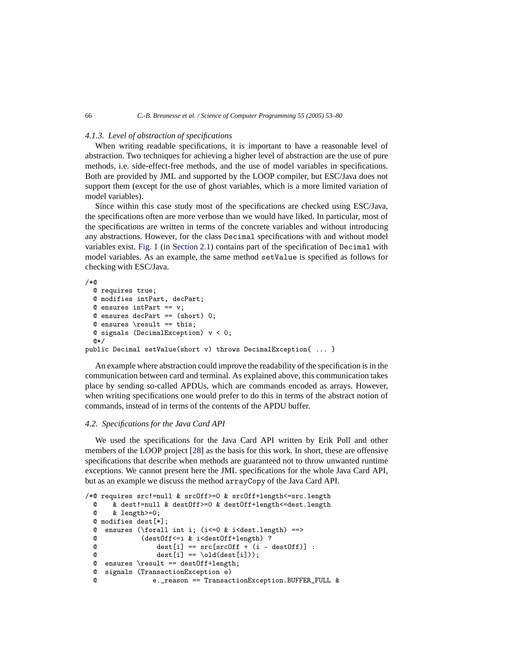## *4.1.3. Level of abstraction of specifications*

When writing readable specifications, it is important to have a reasonable level of abstraction. Two techniques for achieving a higher level of abstraction are the use of pure methods, i.e. side-effect-free methods, and the use of model variables in specifications. Both are provided by JML and supported by the LOOP compiler, but ESC/Java does not support them (except for the use of ghost variables, which is a more limited variation of model variables).

Since within this case study most of the specifications are checked using ESC/Java, the specifications often are more verbose than we would have liked. In particular, most of the specifications are written in terms of the concrete variables and without introducing any abstractions. However, for the class Decimal specifications with and without model variables exist. [Fig. 1](#page-4-0) (in [Section 2.1\)](#page-2-2) contains part of the specification of Decimal with model variables. As an example, the same method setValue is specified as follows for checking with ESC/Java.

```
/*@
  @ requires true;
  @ modifies intPart, decPart;
  @ ensures intPart == v;
  @ ensures decPart == (short) 0;
  @ ensures \result == this:
  Q signals (DecimalException) v < 0;
  @*/
public Decimal setValue(short v) throws DecimalException{ ... }
```
An example where abstraction could improve the readability of the specification is in the communication between card and terminal. As explained above, this communication takes place by sending so-called APDUs, which are commands encoded as arrays. However, when writing specifications one would prefer to do this in terms of the abstract notion of commands, instead of in terms of the contents of the APDU buffer.

#### *4.2. Specifications for the Java Card API*

We used the specifications for the Java Card API written by Erik Poll and other members of the LOOP project [\[28](#page-27-8)] as the basis for this work. In short, these are offensive specifications that describe when methods are guaranteed not to throw unwanted runtime exceptions. We cannot present here the JML specifications for the whole Java Card API, but as an example we discuss the method arrayCopy of the Java Card API.

```
/*@ requires src!=null & srcOff>=0 & srcOff+length<=src.length
 \alpha & dest!=null & dest0ff>=0 & dest0ff+length<=dest.length<br>\alpha & length>=0:
       @ & length>=0;
  @ modifies dest[*];
  @ ensures (\forall int i; (i<=0 & i<dest.length) ==>
 @ (destOff<=i & i<destOff+length) ?<br>
@ dest[i] == src[srcOff + (i -
                   dest[i] == src[srcOff + (i - destOff)]:
 \mathbb{Q} dest[i] == \old(dest[i]));
 @ ensures \result == destOff+length;
 @ signals (TransactionException e)
  @ e._reason == TransactionException.BUFFER_FULL &
```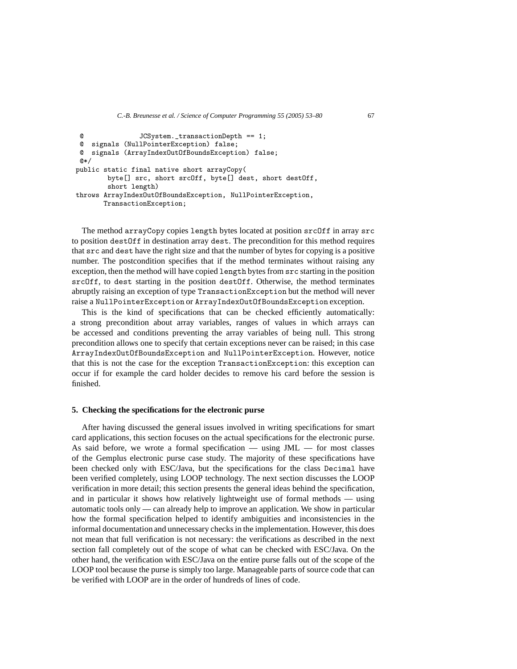```
@ JCSystem._transactionDepth == 1;
 @ signals (NullPointerException) false;
 @ signals (ArrayIndexOutOfBoundsException) false;
 @*/
public static final native short arrayCopy(
       byte[] src, short srcOff, byte[] dest, short destOff,
       short length)
throws ArrayIndexOutOfBoundsException, NullPointerException,
      TransactionException;
```
The method arrayCopy copies length bytes located at position srcOff in array src to position destOff in destination array dest. The precondition for this method requires that src and dest have the right size and that the number of bytes for copying is a positive number. The postcondition specifies that if the method terminates without raising any exception, then the method will have copied length bytes from src starting in the position srcOff, to dest starting in the position destOff. Otherwise, the method terminates abruptly raising an exception of type TransactionException but the method will never raise a NullPointerException or ArrayIndexOutOfBoundsException exception.

This is the kind of specifications that can be checked efficiently automatically: a strong precondition about array variables, ranges of values in which arrays can be accessed and conditions preventing the array variables of being null. This strong precondition allows one to specify that certain exceptions never can be raised; in this case ArrayIndexOutOfBoundsException and NullPointerException. However, notice that this is not the case for the exception TransactionException: this exception can occur if for example the card holder decides to remove his card before the session is finished.

## <span id="page-14-0"></span>**5. Checking the specifications for the electronic purse**

After having discussed the general issues involved in writing specifications for smart card applications, this section focuses on the actual specifications for the electronic purse. As said before, we wrote a formal specification — using JML — for most classes of the Gemplus electronic purse case study. The majority of these specifications have been checked only with ESC/Java, but the specifications for the class Decimal have been verified completely, using LOOP technology. The next section discusses the LOOP verification in more detail; this section presents the general ideas behind the specification, and in particular it shows how relatively lightweight use of formal methods — using automatic tools only — can already help to improve an application. We show in particular how the formal specification helped to identify ambiguities and inconsistencies in the informal documentation and unnecessary checks in the implementation. However, this does not mean that full verification is not necessary: the verifications as described in the next section fall completely out of the scope of what can be checked with ESC/Java. On the other hand, the verification with ESC/Java on the entire purse falls out of the scope of the LOOP tool because the purse is simply too large. Manageable parts of source code that can be verified with LOOP are in the order of hundreds of lines of code.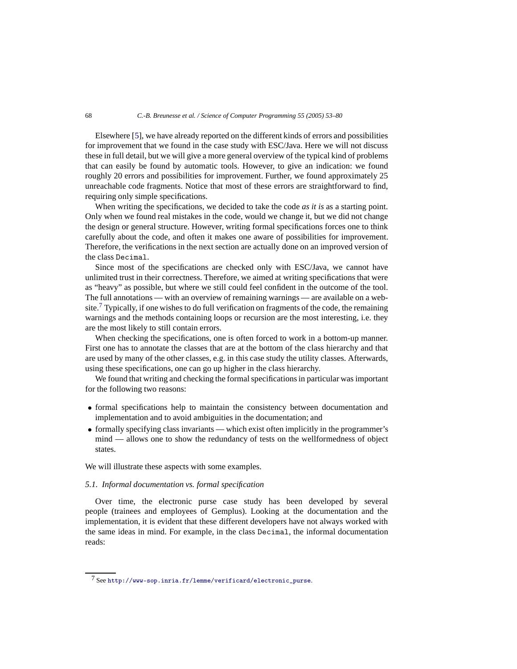Elsewhere [\[5\]](#page-26-5), we have already reported on the different kinds of errors and possibilities for improvement that we found in the case study with ESC/Java. Here we will not discuss these in full detail, but we will give a more general overview of the typical kind of problems that can easily be found by automatic tools. However, to give an indication: we found roughly 20 errors and possibilities for improvement. Further, we found approximately 25 unreachable code fragments. Notice that most of these errors are straightforward to find, requiring only simple specifications.

When writing the specifications, we decided to take the code *as it is* as a starting point. Only when we found real mistakes in the code, would we change it, but we did not change the design or general structure. However, writing formal specifications forces one to think carefully about the code, and often it makes one aware of possibilities for improvement. Therefore, the verifications in the next section are actually done on an improved version of the class Decimal.

Since most of the specifications are checked only with ESC/Java, we cannot have unlimited trust in their correctness. Therefore, we aimed at writing specifications that were as "heavy" as possible, but where we still could feel confident in the outcome of the tool. The full annotations — with an overview of remaining warnings — are available on a web-site.<sup>[7](#page-15-0)</sup> Typically, if one wishes to do full verification on fragments of the code, the remaining warnings and the methods containing loops or recursion are the most interesting, i.e. they are the most likely to still contain errors.

When checking the specifications, one is often forced to work in a bottom-up manner. First one has to annotate the classes that are at the bottom of the class hierarchy and that are used by many of the other classes, e.g. in this case study the utility classes. Afterwards, using these specifications, one can go up higher in the class hierarchy.

We found that writing and checking the formal specifications in particular was important for the following two reasons:

- formal specifications help to maintain the consistency between documentation and implementation and to avoid ambiguities in the documentation; and
- formally specifying class invariants which exist often implicitly in the programmer's mind — allows one to show the redundancy of tests on the wellformedness of object states.

<span id="page-15-1"></span>We will illustrate these aspects with some examples.

# *5.1. Informal documentation vs. formal specification*

Over time, the electronic purse case study has been developed by several people (trainees and employees of Gemplus). Looking at the documentation and the implementation, it is evident that these different developers have not always worked with the same ideas in mind. For example, in the class Decimal, the informal documentation reads:

<span id="page-15-0"></span><sup>7</sup> See [http://www-sop.inria.fr/lemme/verificard/electronic\\_purse](http://www-sop.inria.fr/lemme/verificard/electronic_purse).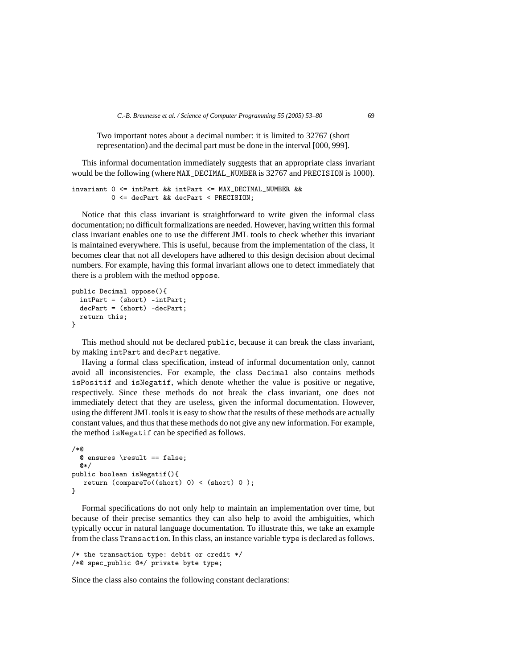Two important notes about a decimal number: it is limited to 32767 (short representation) and the decimal part must be done in the interval [000, 999].

This informal documentation immediately suggests that an appropriate class invariant would be the following (where MAX\_DECIMAL\_NUMBER is 32767 and PRECISION is 1000).

```
invariant 0 <= intPart && intPart <= MAX_DECIMAL_NUMBER &&
         0 <= decPart && decPart < PRECISION;
```
Notice that this class invariant is straightforward to write given the informal class documentation; no difficult formalizations are needed. However, having written this formal class invariant enables one to use the different JML tools to check whether this invariant is maintained everywhere. This is useful, because from the implementation of the class, it becomes clear that not all developers have adhered to this design decision about decimal numbers. For example, having this formal invariant allows one to detect immediately that there is a problem with the method oppose.

```
public Decimal oppose(){
  intPart = (short) -intPart;
  decPart = (short) -decPart;
 return this;
}
```
This method should not be declared public, because it can break the class invariant, by making intPart and decPart negative.

Having a formal class specification, instead of informal documentation only, cannot avoid all inconsistencies. For example, the class Decimal also contains methods isPositif and isNegatif, which denote whether the value is positive or negative, respectively. Since these methods do not break the class invariant, one does not immediately detect that they are useless, given the informal documentation. However, using the different JML tools it is easy to show that the results of these methods are actually constant values, and thus that these methods do not give any new information. For example, the method isNegatif can be specified as follows.

```
/*@
  @ ensures \result == false;
  @*/
public boolean isNegatif(){
   return (compareTo((short) 0) < (short) 0);
}
```
Formal specifications do not only help to maintain an implementation over time, but because of their precise semantics they can also help to avoid the ambiguities, which typically occur in natural language documentation. To illustrate this, we take an example from the class Transaction. In this class, an instance variable type is declared as follows.

```
/* the transaction type: debit or credit */
/*@ spec_public @*/ private byte type;
```
Since the class also contains the following constant declarations: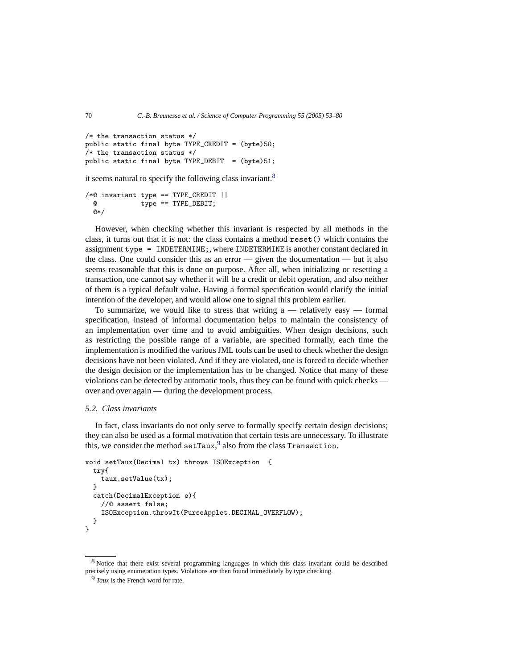```
/* the transaction status */
public static final byte TYPE_CREDIT = (byte)50;
/* the transaction status */
public static final byte TYPE_DEBIT = (byte)51;
```
it seems natural to specify the following class invariant.<sup>[8](#page-17-0)</sup>

/\*@ invariant type == TYPE\_CREDIT || @ type == TYPE\_DEBIT; @\*/

However, when checking whether this invariant is respected by all methods in the class, it turns out that it is not: the class contains a method reset() which contains the assignment type = INDETERMINE;, where INDETERMINE is another constant declared in the class. One could consider this as an error  $-$  given the documentation  $-$  but it also seems reasonable that this is done on purpose. After all, when initializing or resetting a transaction, one cannot say whether it will be a credit or debit operation, and also neither of them is a typical default value. Having a formal specification would clarify the initial intention of the developer, and would allow one to signal this problem earlier.

To summarize, we would like to stress that writing  $a$  — relatively easy — formal specification, instead of informal documentation helps to maintain the consistency of an implementation over time and to avoid ambiguities. When design decisions, such as restricting the possible range of a variable, are specified formally, each time the implementation is modified the various JML tools can be used to check whether the design decisions have not been violated. And if they are violated, one is forced to decide whether the design decision or the implementation has to be changed. Notice that many of these violations can be detected by automatic tools, thus they can be found with quick checks over and over again — during the development process.

## *5.2. Class invariants*

In fact, class invariants do not only serve to formally specify certain design decisions; they can also be used as a formal motivation that certain tests are unnecessary. To illustrate this, we consider the method  $\texttt{setTaux}$ ,  $^9$  $^9$  also from the class Transaction.

```
void setTaux(Decimal tx) throws ISOException {
  try{
    taux.setValue(tx);
  }
  catch(DecimalException e){
    //@ assert false;
    ISOException.throwIt(PurseApplet.DECIMAL_OVERFLOW);
 }
}
```
<span id="page-17-1"></span><span id="page-17-0"></span><sup>8</sup> Notice that there exist several programming languages in which this class invariant could be described precisely using enumeration types. Violations are then found immediately by type checking.

<sup>9</sup> *Taux* is the French word for rate.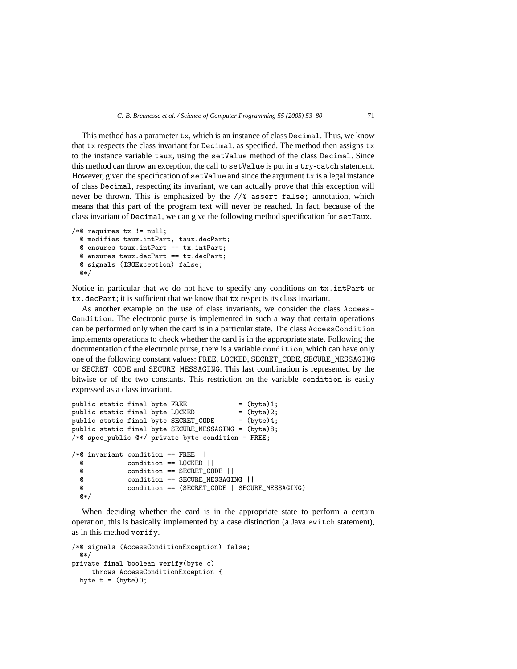This method has a parameter tx, which is an instance of class Decimal. Thus, we know that tx respects the class invariant for Decimal, as specified. The method then assigns tx to the instance variable taux, using the setValue method of the class Decimal. Since this method can throw an exception, the call to setValue is put in a try-catch statement. However, given the specification of  $setValue$  and since the argument  $tx$  is a legal instance of class Decimal, respecting its invariant, we can actually prove that this exception will never be thrown. This is emphasized by the //@ assert false; annotation, which means that this part of the program text will never be reached. In fact, because of the class invariant of Decimal, we can give the following method specification for setTaux.

```
/*@ requires tx != null;@ modifies taux.intPart, taux.decPart;
 @ ensures taux.intPart == tx.intPart;
 @ ensures taux.decPart == tx.decPart;
 @ signals (ISOException) false;
 @*/
```
Notice in particular that we do not have to specify any conditions on tx.intPart or tx.decPart; it is sufficient that we know that tx respects its class invariant.

As another example on the use of class invariants, we consider the class Access-Condition. The electronic purse is implemented in such a way that certain operations can be performed only when the card is in a particular state. The class AccessCondition implements operations to check whether the card is in the appropriate state. Following the documentation of the electronic purse, there is a variable condition, which can have only one of the following constant values: FREE, LOCKED, SECRET\_CODE, SECURE\_MESSAGING or SECRET\_CODE and SECURE\_MESSAGING. This last combination is represented by the bitwise or of the two constants. This restriction on the variable condition is easily expressed as a class invariant.

```
public static final byte FREE = (byte)1;<br>public static final byte LOCKED = (byte)2;
public static final byte LOCKED
public static final byte SECRET_CODE = (byte)4;
public static final byte SECURE_MESSAGING = (byte)8;
/*@ spec_public @*/ private byte condition = FREE;
/*@ invariant condition == FREE ||
  @ condition == LOCKED ||
               @ condition == SECRET_CODE ||
  e condition == SECURE_MESSAGING ||<br>
e condition == (SECRET CODE | SECU
               @ condition == (SECRET_CODE | SECURE_MESSAGING)
  @*
```
When deciding whether the card is in the appropriate state to perform a certain operation, this is basically implemented by a case distinction (a Java switch statement), as in this method verify.

```
/*@ signals (AccessConditionException) false;
 @*/
private final boolean verify(byte c)
    throws AccessConditionException {
 byte t = (byte)0;
```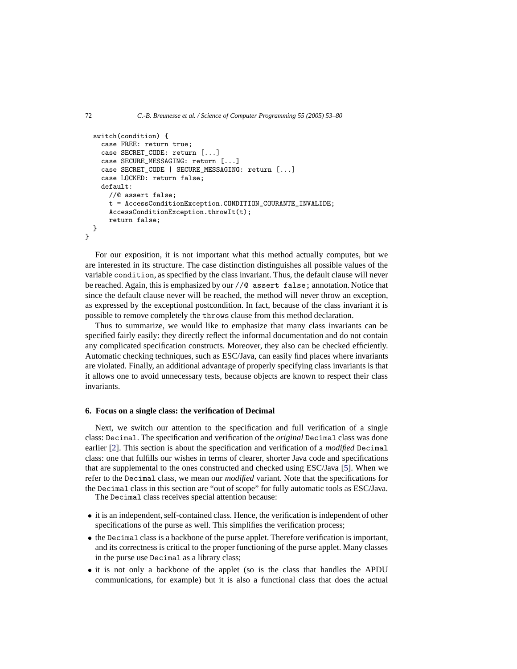```
switch(condition) {
    case FREE: return true;
    case SECRET_CODE: return [...]
    case SECURE_MESSAGING: return [...]
    case SECRET_CODE | SECURE_MESSAGING: return [...]
    case LOCKED: return false;
    default:
      //@ assert false;
      t = AccessConditionException.CONDITION_COURANTE_INVALIDE;
      AccessConditionException.throwIt(t);
      return false;
 }
}
```
For our exposition, it is not important what this method actually computes, but we are interested in its structure. The case distinction distinguishes all possible values of the variable condition, as specified by the class invariant. Thus, the default clause will never be reached. Again, this is emphasized by our //@ assert false; annotation. Notice that since the default clause never will be reached, the method will never throw an exception, as expressed by the exceptional postcondition. In fact, because of the class invariant it is possible to remove completely the throws clause from this method declaration.

Thus to summarize, we would like to emphasize that many class invariants can be specified fairly easily: they directly reflect the informal documentation and do not contain any complicated specification constructs. Moreover, they also can be checked efficiently. Automatic checking techniques, such as ESC/Java, can easily find places where invariants are violated. Finally, an additional advantage of properly specifying class invariants is that it allows one to avoid unnecessary tests, because objects are known to respect their class invariants.

#### <span id="page-19-0"></span>**6. Focus on a single class: the verification of Decimal**

Next, we switch our attention to the specification and full verification of a single class: Decimal. The specification and verification of the *original* Decimal class was done earlier [\[2\]](#page-26-4). This section is about the specification and verification of a *modified* Decimal class: one that fulfills our wishes in terms of clearer, shorter Java code and specifications that are supplemental to the ones constructed and checked using ESC/Java [\[5\]](#page-26-5). When we refer to the Decimal class, we mean our *modified* variant. Note that the specifications for the Decimal class in this section are "out of scope" for fully automatic tools as ESC/Java.

The Decimal class receives special attention because:

- it is an independent, self-contained class. Hence, the verification is independent of other specifications of the purse as well. This simplifies the verification process;
- the Decimal class is a backbone of the purse applet. Therefore verification is important, and its correctness is critical to the proper functioning of the purse applet. Many classes in the purse use Decimal as a library class;
- it is not only a backbone of the applet (so is the class that handles the APDU communications, for example) but it is also a functional class that does the actual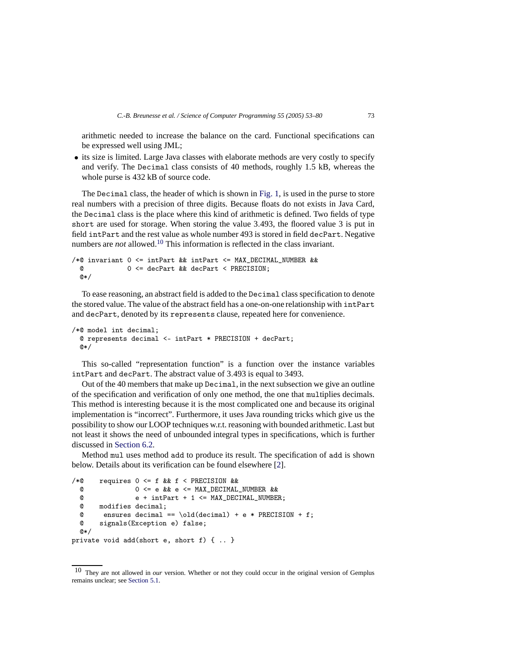arithmetic needed to increase the balance on the card. Functional specifications can be expressed well using JML;

• its size is limited. Large Java classes with elaborate methods are very costly to specify and verify. The Decimal class consists of 40 methods, roughly 1.5 kB, whereas the whole purse is  $432$  kB of source code.

The Decimal class, the header of which is shown in [Fig. 1,](#page-4-0) is used in the purse to store real numbers with a precision of three digits. Because floats do not exists in Java Card, the Decimal class is the place where this kind of arithmetic is defined. Two fields of type short are used for storage. When storing the value 3*.*493, the floored value 3 is put in field intPart and the rest value as whole number 493 is stored in field decPart. Negative numbers are *not* allowed.<sup>[10](#page-20-0)</sup> This information is reflected in the class invariant.

```
/*@ invariant 0 <= intPart && intPart <= MAX_DECIMAL_NUMBER &&
 @ 0 <= decPart && decPart < PRECISION;
 @*/
```
To ease reasoning, an abstract field is added to the Decimal class specification to denote the stored value. The value of the abstract field has a one-on-one relationship with intPart and decPart, denoted by its represents clause, repeated here for convenience.

```
/*@ model int decimal;
 @ represents decimal <- intPart * PRECISION + decPart;
 @*/
```
This so-called "representation function" is a function over the instance variables intPart and decPart. The abstract value of 3*.*493 is equal to 3493.

Out of the 40 members that make up Decimal, in the next subsection we give an outline of the specification and verification of only one method, the one that multiplies decimals. This method is interesting because it is the most complicated one and because its original implementation is "incorrect". Furthermore, it uses Java rounding tricks which give us the possibility to show our LOOP techniques w.r.t. reasoning with bounded arithmetic. Last but not least it shows the need of unbounded integral types in specifications, which is further discussed in [Section 6.2.](#page-24-0)

Method mul uses method add to produce its result. The specification of add is shown below. Details about its verification can be found elsewhere [\[2\]](#page-26-4).

```
/*@ requires 0 \leq f & t \leq PRECISION & \& 0 \leq f and S = P(X \cup S)\begin{array}{lllllll} \mathbb{Q} & \multicolumn{1}{l}{} & \multicolumn{1}{l}{} & \multicolumn{1}{l}{} & \multicolumn{1}{l}{} & \multicolumn{1}{l}{} & \multicolumn{1}{l}{} & \multicolumn{1}{l}{} & \multicolumn{1}{l}{} & \multicolumn{1}{l}{} & \multicolumn{1}{l}{} & \multicolumn{1}{l}{} & \multicolumn{1}{l}{} & \multicolumn{1}{l}{} & \multicolumn{1}{l}{} & \multicolumn{1}{l}{} & \multicolumn{1}{l}{} & \multicolumn{1}{l}{} & \multicolumn{1}{l}{} & \multicolumn{e + intPart + 1 \leq MAX DECIMAL NUMBER;
     @ modifies decimal;<br>@ ensures decimal
     @ ensures decimal == \old(decimal) + e * PRECISION + f;<br>@ signals(Exception e) false:
                   signals(Exception e) false;
     @*/
private void add(short e, short f) { .. }
```
<span id="page-20-0"></span><sup>10</sup> They are not allowed in *our* version. Whether or not they could occur in the original version of Gemplus remains unclear; see [Section 5.1.](#page-15-1)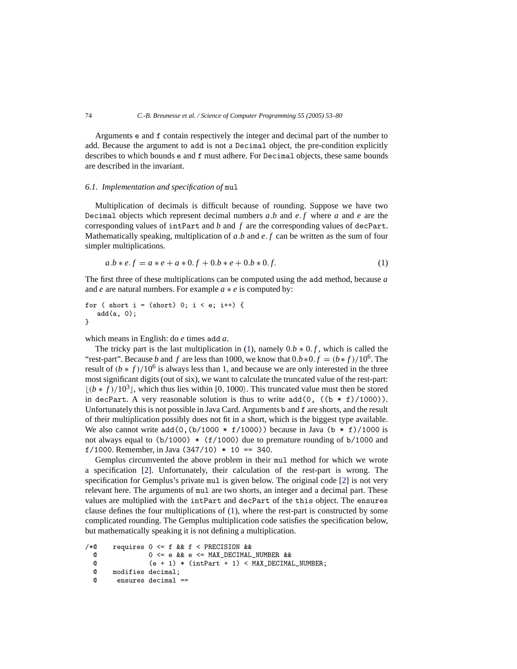Arguments e and f contain respectively the integer and decimal part of the number to add. Because the argument to add is not a Decimal object, the pre-condition explicitly describes to which bounds e and f must adhere. For Decimal objects, these same bounds are described in the invariant.

# *6.1. Implementation and specification of* mul

Multiplication of decimals is difficult because of rounding. Suppose we have two Decimal objects which represent decimal numbers *a.b* and *e. f* where *a* and *e* are the corresponding values of intPart and *b* and *f* are the corresponding values of decPart. Mathematically speaking, multiplication of *a.b* and *e. f* can be written as the sum of four simpler multiplications.

$$
a.b * e.f = a * e + a * 0.f + 0.b * e + 0.b * 0.f.
$$
\n<sup>(1)</sup>

<span id="page-21-0"></span>The first three of these multiplications can be computed using the add method, because *a* and *e* are natural numbers. For example *a* ∗ *e* is computed by:

```
for ( short i = (short) 0; i < e; i++) {
   add(a, 0);
}
```
which means in English: do *e* times add *a*.

The tricky part is the last multiplication in [\(1\)](#page-21-0), namely  $0.b * 0.f$ , which is called the "rest-part". Because *b* and *f* are less than 1000, we know that  $0.b*0.f = (b*f)/10^6$ . The result of  $(b * f)/10^6$  is always less than 1, and because we are only interested in the three most significant digits (out of six), we want to calculate the truncated value of the rest-part:  $[(b * f)/10^3]$ , which thus lies within [0, 1000). This truncated value must then be stored in decPart. A very reasonable solution is thus to write  $add(0, ((b * f)/1000))$ . Unfortunately this is not possible in Java Card. Arguments b and f are shorts, and the result of their multiplication possibly does not fit in a short, which is the biggest type available. We also cannot write  $add(0,(b/1000 * f/1000))$  because in Java  $(b * f)/1000$  is not always equal to  $(b/1000)$  \*  $(f/1000)$  due to premature rounding of b/1000 and f/1000. Remember, in Java  $(347/10)$  \* 10 == 340.

Gemplus circumvented the above problem in their mul method for which we wrote a specification [\[2](#page-26-4)]. Unfortunately, their calculation of the rest-part is wrong. The specification for Gemplus's private mul is given below. The original code [\[2](#page-26-4)] is not very relevant here. The arguments of mul are two shorts, an integer and a decimal part. These values are multiplied with the intPart and decPart of the this object. The ensures clause defines the four multiplications of [\(1\)](#page-21-0), where the rest-part is constructed by some complicated rounding. The Gemplus multiplication code satisfies the specification below, but mathematically speaking it is not defining a multiplication.

```
/*@ requires 0 <= f && f < PRECISION &&
     \begin{array}{lllllll} \mathbb{Q} & \multicolumn{1}{l}{} & \multicolumn{1}{l}{} & \multicolumn{1}{l}{} & \multicolumn{1}{l}{} & \multicolumn{1}{l}{} & \multicolumn{1}{l}{} & \multicolumn{1}{l}{} & \multicolumn{1}{l}{} & \multicolumn{1}{l}{} & \multicolumn{1}{l}{} & \multicolumn{1}{l}{} & \multicolumn{1}{l}{} & \multicolumn{1}{l}{} & \multicolumn{1}{l}{} & \multicolumn{1}{l}{} & \multicolumn{1}{l}{} & \multicolumn{1}{l}{} & \multicolumn{1}{l}{} & \multicolumn{(e + 1) * (intPart + 1) < MAX\_DECIMAL\_NUMBER;@ modifies decimal;
      @ ensures decimal ==
```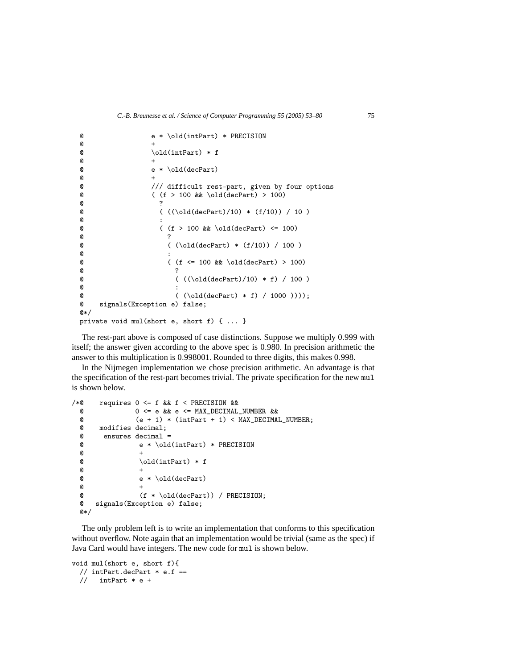```
@ e * \old(intPart) * PRECISION
\bullet +
\begin{array}{ccc}\n @ & \quad \text{odd(intPart)} * f \\
 @ & + \quad \text{ } \n\end{array}\bullet +
@ & \text{ } @ & \text{ } @ & \text{ } @ & \text{ } @ & \text{ } @ & \text{ } @ & \text{ } @ & \text{ } @ & \text{ } @ & \text{ } @ & \text{ } @ & \text{ } @ & \text{ } @ & \text{ } @ & \text{ } @ & \text{ } @ & \text{ } @ & \text{ } @ & \text{ } @ & \text{ } @ & \text{ } @ & \text{ } @ & \text{ } @ & \text{ } @ & \text{ } @ & \text{ } @ & \text{ } @ & \text{ } @ & \text{ } @ & \text{ } @ & \text{ } @ & \text{ } @ & \text{ } @ & \text{ } @ & \text{ } @ & \text{ } @ & \text\bullet +
\frac{d}{d} /// difficult rest-part, given by four options<br>
\frac{d}{d} ( (f > 100 & \old(decPart) > 100)
\begin{array}{ll} \text{\textdegreeled{0}} & (\text{f} > 100 \text{ \& } \text{ \& } \text{ \& } \text{ \& } \text{ \& } \text{ \& } \text{ \& } \text{ \& } \text{ \& } \text{ \& } \text{ \& } \text{ \& } \text{ \& } \text{ \& } \text{ \& } \text{ \& } \text{ \& } \text{ \& } \text{ \& } \text{ \& } \text{ \& } \text{ \& } \text{ \& } \text{ \& } \text{ \& } \text{ \& } \text{ \& } \text{ \& } \text{ \& } \text{ \& } \text{ \& } \text{ \& } \@ ?
\begin{array}{ccccc} \mathbb{C} & & ( & (\langle \text{old(declart})/10) * (f/10)) / 10 \end{array}@ :
\begin{array}{ccc} 0 & (f > 100 \& k \cdot 0 \& 0 \end{array} (100)
@ 2
\left( (\text{old}(decPart) * (f/10)) / 100 \right)@ :
\begin{array}{ccc} \textcircled{~} & \textcircled{~} & \textcircled{~} & \textcircled{~} \\ \textcircled{~} & \textcircled{~} & \textcircled{~} \\ \textcircled{~} & \textcircled{~} & \textcircled{~} \end{array}\bullet . The contract of \bullet is the contract of \bullet is the contract of \bullet@ ( ((\odot d (decPart)/10) * f) / 100 )@ :
@ (\\ \odot 1000 \cdot )));<br>
@ signals(Exception e) false;
           signals(Exception e) false;
@*/
private void mul(short e, short f) { ... }
```
The rest-part above is composed of case distinctions. Suppose we multiply 0*.*999 with itself; the answer given according to the above spec is 0*.*980. In precision arithmetic the answer to this multiplication is 0*.*998001. Rounded to three digits, this makes 0*.*998.

In the Nijmegen implementation we chose precision arithmetic. An advantage is that the specification of the rest-part becomes trivial. The private specification for the new mul is shown below.

```
/*@ requires 0 \leq f && f \leq PRECISION &&<br>
@ 0 \leq e && e \leq MAX DECIMAL
              0 \leq e & \& e \leq MAX DECIMAL NUMBER & \&@ (e + 1) * (intPart + 1) < MAX\_DECIMAL\_NUMBER;@ modifies decimal;
 @ ensures decimal =
 @ e * \old(intPart) * PRECISION
 @+\odot \old(intPart) * f
 @+@ * \old(decPart)<br>
@ * \old(decPart)@+@ (f * \old(decPart)) / PRECISION;
 @ signals(Exception e) false;
 @*/
```
The only problem left is to write an implementation that conforms to this specification without overflow. Note again that an implementation would be trivial (same as the spec) if Java Card would have integers. The new code for mul is shown below.

```
void mul(short e, short f){
 // intPart.decPart * e.f ==
 // intPart * e +
```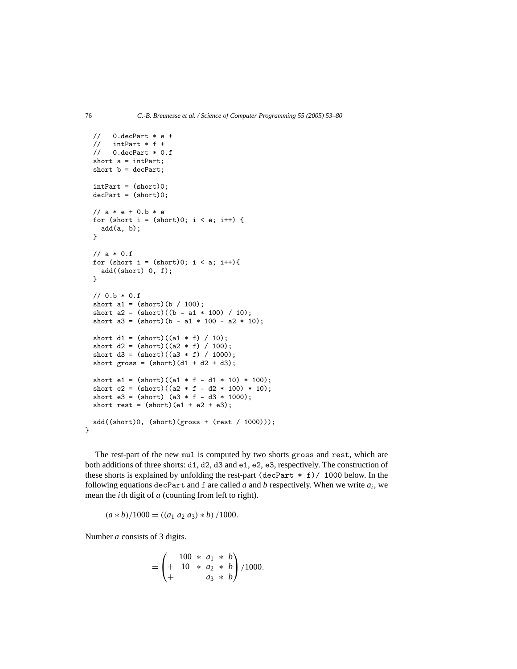```
// 0.\text{decPart} * e +<br>// \text{intPart} * f +intPart * f +// 0.decPart * 0.f
 short a = intPart;
 short b = decPart;intPart = (short)0;
 decPart = (short)0;// a * e + 0.b * efor (short i = (short)0; i < e; i++) {
    add(a, b);}
 // a * 0.ffor (short i = (short)0; i < a; i++){
    add((short) 0, f);}
 // 0.b * 0.fshort a1 = (short)(b / 100);
  short a2 = (short)((b - a1 * 100) / 10);short a3 = (short)(b - a1 * 100 - a2 * 10);short d1 = (short)((a1 * f) / 10);short d2 = (short)((a2 * f) / 100);short d3 = (short)((a3 * f) / 1000);short gross = (short)(d1 + d2 + d3);short e1 = (short)((a1 * f - d1 * 10) * 100);short e2 = (short)((a2 * f - d2 * 100) * 10);short e3 = (short) (a3 * f - d3 * 1000);
  short rest = (short)(e1 + e2 + e3);add((short)0, (short)(gross + (rest / 1000)));}
```
The rest-part of the new mul is computed by two shorts gross and rest, which are both additions of three shorts: d1, d2, d3 and e1, e2, e3, respectively. The construction of these shorts is explained by unfolding the rest-part (decPart \* f)/ 1000 below. In the following equations decPart and f are called *a* and *b* respectively. When we write *ai*, we mean the *i*th digit of *a* (counting from left to right).

 $(a * b) / 1000 = ((a_1 \ a_2 \ a_3) * b) / 1000.$ 

Number *a* consists of 3 digits.

$$
= \begin{pmatrix} 100 & * & a_1 & * & b \\ + & 10 & * & a_2 & * & b \\ + & & a_3 & * & b \end{pmatrix} / 1000.
$$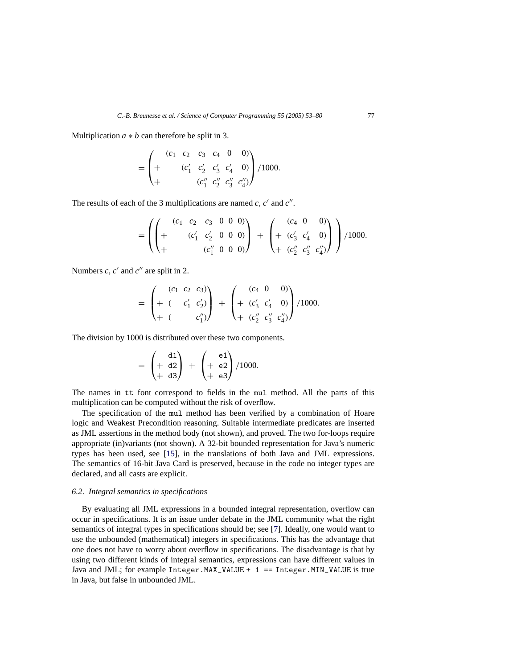Multiplication  $a * b$  can therefore be split in 3.

$$
= \begin{pmatrix} (c_1 & c_2 & c_3 & c_4 & 0 & 0) \\ + & (c'_1 & c'_2 & c'_3 & c'_4 & 0) \\ + & & (c''_1 & c''_2 & c''_3 & c''_4) \end{pmatrix} / 1000.
$$

The results of each of the 3 multiplications are named  $c$ ,  $c'$  and  $c''$ .

$$
= \left( \left( + \begin{array}{cccc} (c_1 & c_2 & c_3 & 0 & 0 & 0) \\ + & (c'_1 & c'_2 & 0 & 0 & 0) \\ + & & (c''_1 & 0 & 0 & 0) \end{array} \right) + \left( + \begin{array}{cccc} (c_4 & 0 & 0) \\ + (c'_3 & c'_4 & 0) \\ + (c''_2 & c''_3 & c''_4) \end{array} \right) \right) / 1000.
$$

Numbers  $c$ ,  $c'$  and  $c''$  are split in 2.

$$
= \begin{pmatrix} (c_1 & c_2 & c_3) \\ + (c_1 & c_1' & c_2') \\ + (c_2 & c_1'') \end{pmatrix} + \begin{pmatrix} (c_4 & 0 & 0) \\ + (c_3' & c_4' & 0) \\ + (c_2'' & c_3'' & c_4'') \end{pmatrix} / 1000.
$$

The division by 1000 is distributed over these two components.

$$
= \begin{pmatrix} d1 \\ + d2 \\ + d3 \end{pmatrix} + \begin{pmatrix} e1 \\ + e2 \\ + e3 \end{pmatrix} / 1000.
$$

The names in tt font correspond to fields in the mul method. All the parts of this multiplication can be computed without the risk of overflow.

The specification of the mul method has been verified by a combination of Hoare logic and Weakest Precondition reasoning. Suitable intermediate predicates are inserted as JML assertions in the method body (not shown), and proved. The two for-loops require appropriate (in)variants (not shown). A 32-bit bounded representation for Java's numeric types has been used, see [\[15](#page-26-18)], in the translations of both Java and JML expressions. The semantics of 16-bit Java Card is preserved, because in the code no integer types are declared, and all casts are explicit.

#### <span id="page-24-0"></span>*6.2. Integral semantics in specifications*

By evaluating all JML expressions in a bounded integral representation, overflow can occur in specifications. It is an issue under debate in the JML community what the right semantics of integral types in specifications should be; see [\[7](#page-26-19)]. Ideally, one would want to use the unbounded (mathematical) integers in specifications. This has the advantage that one does not have to worry about overflow in specifications. The disadvantage is that by using two different kinds of integral semantics, expressions can have different values in Java and JML; for example  $Integer$ .MAX\_VALUE +  $1 == Integer$ .MIN\_VALUE is true in Java, but false in unbounded JML.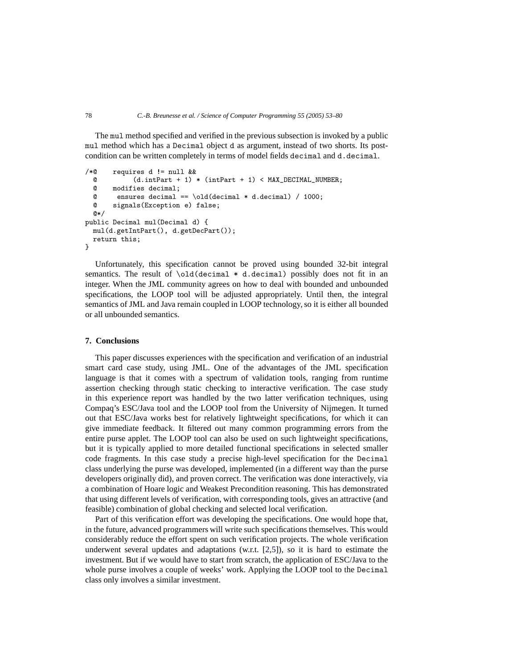The mul method specified and verified in the previous subsection is invoked by a public mul method which has a Decimal object d as argument, instead of two shorts. Its postcondition can be written completely in terms of model fields decimal and d.decimal.

```
/*@ requires d != null & &
  @ (d.intPart + 1) * (intPart + 1) < MAX_DECIMAL_NUMBER;<br>
@ modifies decimal:
  e modifies decimal;<br>e ensures decimal
  @ ensures decimal == \cdot \old(decimal * d.decimal) / 1000;<br>
@ signals(Exception a) false:
         signals(Exception e) false;
  @*public Decimal mul(Decimal d) {
  mul(d.getIntPart(), d.getDecPart());
  return this;
}
```
Unfortunately, this specification cannot be proved using bounded 32-bit integral semantics. The result of \old(decimal \* d.decimal) possibly does not fit in an integer. When the JML community agrees on how to deal with bounded and unbounded specifications, the LOOP tool will be adjusted appropriately. Until then, the integral semantics of JML and Java remain coupled in LOOP technology, so it is either all bounded or all unbounded semantics.

## <span id="page-25-0"></span>**7. Conclusions**

This paper discusses experiences with the specification and verification of an industrial smart card case study, using JML. One of the advantages of the JML specification language is that it comes with a spectrum of validation tools, ranging from runtime assertion checking through static checking to interactive verification. The case study in this experience report was handled by the two latter verification techniques, using Compaq's ESC/Java tool and the LOOP tool from the University of Nijmegen. It turned out that ESC/Java works best for relatively lightweight specifications, for which it can give immediate feedback. It filtered out many common programming errors from the entire purse applet. The LOOP tool can also be used on such lightweight specifications, but it is typically applied to more detailed functional specifications in selected smaller code fragments. In this case study a precise high-level specification for the Decimal class underlying the purse was developed, implemented (in a different way than the purse developers originally did), and proven correct. The verification was done interactively, via a combination of Hoare logic and Weakest Precondition reasoning. This has demonstrated that using different levels of verification, with corresponding tools, gives an attractive (and feasible) combination of global checking and selected local verification.

Part of this verification effort was developing the specifications. One would hope that, in the future, advanced programmers will write such specifications themselves. This would considerably reduce the effort spent on such verification projects. The whole verification underwent several updates and adaptations (w.r.t.  $[2,5]$  $[2,5]$ ), so it is hard to estimate the investment. But if we would have to start from scratch, the application of ESC/Java to the whole purse involves a couple of weeks' work. Applying the LOOP tool to the Decimal class only involves a similar investment.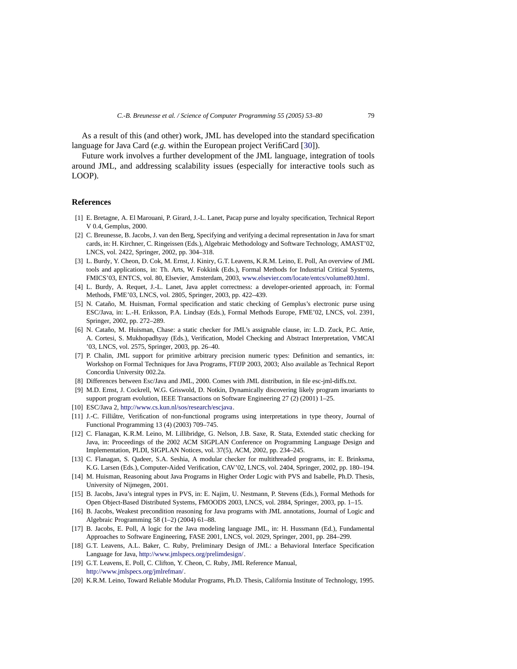As a result of this (and other) work, JML has developed into the standard specification language for Java Card (*e.g.* within the European project VerifiCard [\[30\]](#page-27-9)).

Future work involves a further development of the JML language, integration of tools around JML, and addressing scalability issues (especially for interactive tools such as LOOP).

#### <span id="page-26-17"></span>**References**

- [1] E. Bretagne, A. El Marouani, P. Girard, J.-L. Lanet, Pacap purse and loyalty specification, Technical Report V 0.4, Gemplus, 2000.
- <span id="page-26-4"></span>[2] C. Breunesse, B. Jacobs, J. van den Berg, Specifying and verifying a decimal representation in Java for smart cards, in: H. Kirchner, C. Ringeissen (Eds.), Algebraic Methodology and Software Technology, AMAST'02, LNCS, vol. 2422, Springer, 2002, pp. 304–318.
- <span id="page-26-2"></span>[3] L. Burdy, Y. Cheon, D. Cok, M. Ernst, J. Kiniry, G.T. Leavens, K.R.M. Leino, E. Poll, An overview of JML tools and applications, in: Th. Arts, W. Fokkink (Eds.), Formal Methods for Industrial Critical Systems, FMICS'03, ENTCS, vol. 80, Elsevier, Amsterdam, 2003, [www.elsevier.com/locate/entcs/volume80.html.](http://www.elsevier.com/locate/entcs/volume80.html)
- <span id="page-26-15"></span>[4] L. Burdy, A. Requet, J.-L. Lanet, Java applet correctness: a developer-oriented approach, in: Formal Methods, FME'03, LNCS, vol. 2805, Springer, 2003, pp. 422–439.
- <span id="page-26-5"></span>[5] N. Cataño, M. Huisman, Formal specification and static checking of Gemplus's electronic purse using ESC/Java, in: L.-H. Eriksson, P.A. Lindsay (Eds.), Formal Methods Europe, FME'02, LNCS, vol. 2391, Springer, 2002, pp. 272–289.
- <span id="page-26-13"></span>[6] N. Cataño, M. Huisman, Chase: a static checker for JML's assignable clause, in: L.D. Zuck, P.C. Attie, A. Cortesi, S. Mukhopadhyay (Eds.), Verification, Model Checking and Abstract Interpretation, VMCAI '03, LNCS, vol. 2575, Springer, 2003, pp. 26–40.
- <span id="page-26-19"></span>[7] P. Chalin, JML support for primitive arbitrary precision numeric types: Definition and semantics, in: Workshop on Formal Techniques for Java Programs, FTfJP 2003, 2003; Also available as Technical Report Concordia University 002.2a.
- [8] Differences between Esc/Java and JML, 2000. Comes with JML distribution, in file esc-jml-diffs.txt.
- <span id="page-26-12"></span><span id="page-26-8"></span>[9] M.D. Ernst, J. Cockrell, W.G. Griswold, D. Notkin, Dynamically discovering likely program invariants to support program evolution, IEEE Transactions on Software Engineering 27 (2) (2001) 1–25.
- <span id="page-26-7"></span>[10] ESC/Java 2, [http://www.cs.kun.nl/sos/research/escjava.](http://www.cs.kun.nl/sos/research/escjava)
- <span id="page-26-16"></span>[11] J.-C. Filliâtre, Verification of non-functional programs using interpretations in type theory, Journal of Functional Programming 13 (4) (2003) 709–745.
- <span id="page-26-3"></span>[12] C. Flanagan, K.R.M. Leino, M. Lillibridge, G. Nelson, J.B. Saxe, R. Stata, Extended static checking for Java, in: Proceedings of the 2002 ACM SIGPLAN Conference on Programming Language Design and Implementation, PLDI, SIGPLAN Notices, vol. 37(5), ACM, 2002, pp. 234–245.
- <span id="page-26-14"></span>[13] C. Flanagan, S. Qadeer, S.A. Seshia, A modular checker for multithreaded programs, in: E. Brinksma, K.G. Larsen (Eds.), Computer-Aided Verification, CAV'02, LNCS, vol. 2404, Springer, 2002, pp. 180–194.
- <span id="page-26-11"></span>[14] M. Huisman, Reasoning about Java Programs in Higher Order Logic with PVS and Isabelle, Ph.D. Thesis, University of Nijmegen, 2001.
- <span id="page-26-18"></span>[15] B. Jacobs, Java's integral types in PVS, in: E. Najim, U. Nestmann, P. Stevens (Eds.), Formal Methods for Open Object-Based Distributed Systems, FMOODS 2003, LNCS, vol. 2884, Springer, 2003, pp. 1–15.
- <span id="page-26-10"></span>[16] B. Jacobs, Weakest precondition reasoning for Java programs with JML annotations, Journal of Logic and Algebraic Programming 58 (1–2) (2004) 61–88.
- <span id="page-26-9"></span>[17] B. Jacobs, E. Poll, A logic for the Java modeling language JML, in: H. Hussmann (Ed.), Fundamental Approaches to Software Engineering, FASE 2001, LNCS, vol. 2029, Springer, 2001, pp. 284–299.
- <span id="page-26-0"></span>[18] G.T. Leavens, A.L. Baker, C. Ruby, Preliminary Design of JML: a Behavioral Interface Specification Language for Java, [http://www.jmlspecs.org/prelimdesign/.](http://www.jmlspecs.org/prelimdesign/)
- <span id="page-26-1"></span>[19] G.T. Leavens, E. Poll, C. Clifton, Y. Cheon, C. Ruby, JML Reference Manual, [http://www.jmlspecs.org/jmlrefman/.](http://www.jmlspecs.org/jmlrefman/)
- <span id="page-26-6"></span>[20] K.R.M. Leino, Toward Reliable Modular Programs, Ph.D. Thesis, California Institute of Technology, 1995.